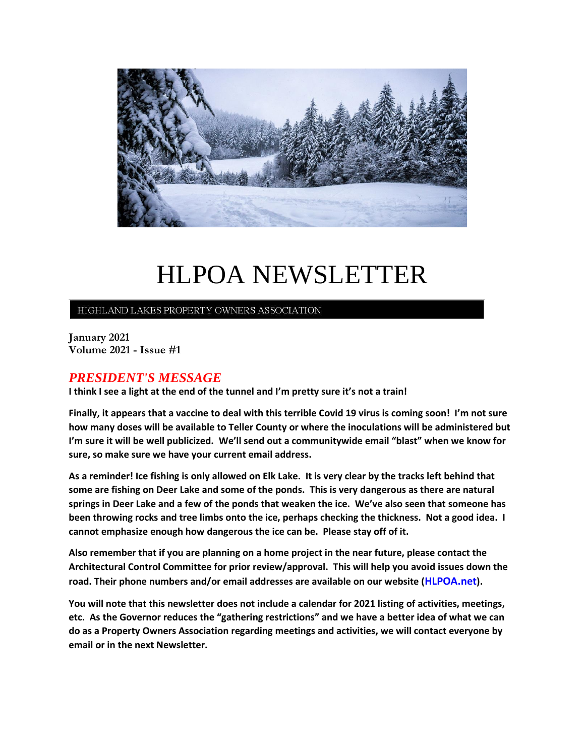

# HLPOA NEWSLETTER

## HIGHLAND LAKES PROPERTY OWNERS ASSOCIATION

**January 2021 Volume 2021 - Issue #1**

## *PRESIDENT'S MESSAGE*

**I think I see a light at the end of the tunnel and I'm pretty sure it's not a train!** 

**Finally, it appears that a vaccine to deal with this terrible Covid 19 virus is coming soon! I'm not sure how many doses will be available to Teller County or where the inoculations will be administered but I'm sure it will be well publicized. We'll send out a communitywide email "blast" when we know for sure, so make sure we have your current email address.**

**As a reminder! Ice fishing is only allowed on Elk Lake. It is very clear by the tracks left behind that some are fishing on Deer Lake and some of the ponds. This is very dangerous as there are natural springs in Deer Lake and a few of the ponds that weaken the ice. We've also seen that someone has been throwing rocks and tree limbs onto the ice, perhaps checking the thickness. Not a good idea. I cannot emphasize enough how dangerous the ice can be. Please stay off of it.**

**Also remember that if you are planning on a home project in the near future, please contact the Architectural Control Committee for prior review/approval. This will help you avoid issues down the road. Their phone numbers and/or email addresses are available on our website (HLPOA.net).**

**You will note that this newsletter does not include a calendar for 2021 listing of activities, meetings, etc. As the Governor reduces the "gathering restrictions" and we have a better idea of what we can do as a Property Owners Association regarding meetings and activities, we will contact everyone by email or in the next Newsletter.**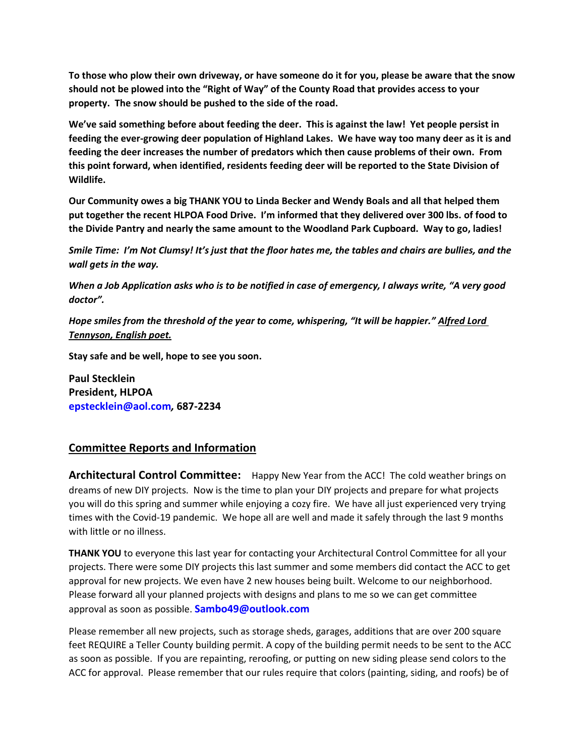**To those who plow their own driveway, or have someone do it for you, please be aware that the snow should not be plowed into the "Right of Way" of the County Road that provides access to your property. The snow should be pushed to the side of the road.**

**We've said something before about feeding the deer. This is against the law! Yet people persist in feeding the ever-growing deer population of Highland Lakes. We have way too many deer as it is and feeding the deer increases the number of predators which then cause problems of their own. From this point forward, when identified, residents feeding deer will be reported to the State Division of Wildlife.**

**Our Community owes a big THANK YOU to Linda Becker and Wendy Boals and all that helped them put together the recent HLPOA Food Drive. I'm informed that they delivered over 300 lbs. of food to the Divide Pantry and nearly the same amount to the Woodland Park Cupboard. Way to go, ladies!**

*Smile Time: I'm Not Clumsy! It's just that the floor hates me, the tables and chairs are bullies, and the wall gets in the way.*

*When a Job Application asks who is to be notified in case of emergency, I always write, "A very good doctor".*

*Hope smiles from the threshold of the year to come, whispering, "It will be happier." Alfred Lord Tennyson, English poet.*

**Stay safe and be well, hope to see you soon.**

**Paul Stecklein President, HLPOA epstecklein@aol.com***,* **687-2234**

## **Committee Reports and Information**

**Architectural Control Committee:** Happy New Year from the ACC! The cold weather brings on dreams of new DIY projects. Now is the time to plan your DIY projects and prepare for what projects you will do this spring and summer while enjoying a cozy fire. We have all just experienced very trying times with the Covid-19 pandemic. We hope all are well and made it safely through the last 9 months with little or no illness.

**THANK YOU** to everyone this last year for contacting your Architectural Control Committee for all your projects. There were some DIY projects this last summer and some members did contact the ACC to get approval for new projects. We even have 2 new houses being built. Welcome to our neighborhood. Please forward all your planned projects with designs and plans to me so we can get committee approval as soon as possible. **[Sambo49@outlook.com](mailto:Sambo49@outlook.com)**

Please remember all new projects, such as storage sheds, garages, additions that are over 200 square feet REQUIRE a Teller County building permit. A copy of the building permit needs to be sent to the ACC as soon as possible. If you are repainting, reroofing, or putting on new siding please send colors to the ACC for approval. Please remember that our rules require that colors (painting, siding, and roofs) be of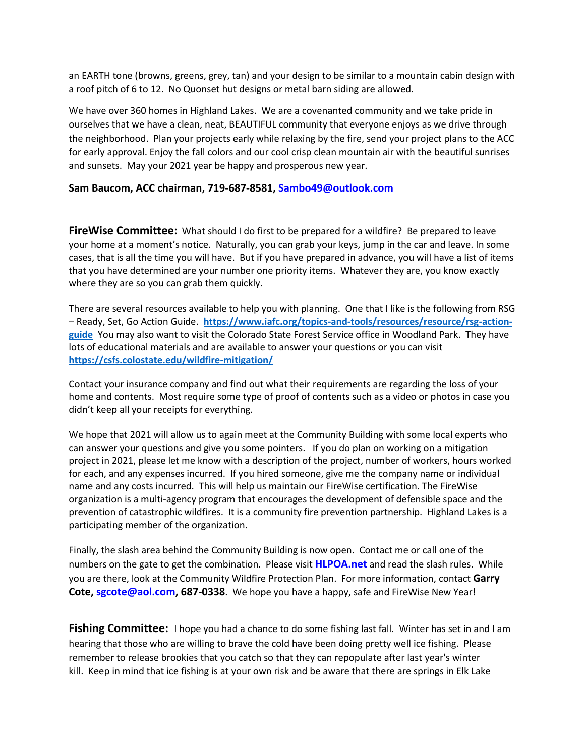an EARTH tone (browns, greens, grey, tan) and your design to be similar to a mountain cabin design with a roof pitch of 6 to 12. No Quonset hut designs or metal barn siding are allowed.

We have over 360 homes in Highland Lakes. We are a covenanted community and we take pride in ourselves that we have a clean, neat, BEAUTIFUL community that everyone enjoys as we drive through the neighborhood. Plan your projects early while relaxing by the fire, send your project plans to the ACC for early approval. Enjoy the fall colors and our cool crisp clean mountain air with the beautiful sunrises and sunsets. May your 2021 year be happy and prosperous new year.

### **Sam Baucom, ACC chairman, 719-687-8581, [Sambo49@outlook.com](mailto:Sambo49@outlook.com)**

**FireWise Committee:** What should I do first to be prepared for a wildfire? Be prepared to leave your home at a moment's notice. Naturally, you can grab your keys, jump in the car and leave. In some cases, that is all the time you will have. But if you have prepared in advance, you will have a list of items that you have determined are your number one priority items. Whatever they are, you know exactly where they are so you can grab them quickly.

There are several resources available to help you with planning. One that I like is the following from RSG – Ready, Set, Go Action Guide. **[https://www.iafc.org/topics-and-tools/resources/resource/rsg-action](https://www.iafc.org/topics-and-tools/resources/resource/rsg-action-guide)[guide](https://www.iafc.org/topics-and-tools/resources/resource/rsg-action-guide)** You may also want to visit the Colorado State Forest Service office in Woodland Park. They have lots of educational materials and are available to answer your questions or you can visit **https://csfs.colostate.edu/wildfire-mitigation/**

Contact your insurance company and find out what their requirements are regarding the loss of your home and contents. Most require some type of proof of contents such as a video or photos in case you didn't keep all your receipts for everything.

We hope that 2021 will allow us to again meet at the Community Building with some local experts who can answer your questions and give you some pointers. If you do plan on working on a mitigation project in 2021, please let me know with a description of the project, number of workers, hours worked for each, and any expenses incurred. If you hired someone, give me the company name or individual name and any costs incurred. This will help us maintain our FireWise certification. The FireWise organization is a multi-agency program that encourages the development of defensible space and the prevention of catastrophic wildfires. It is a community fire prevention partnership. Highland Lakes is a participating member of the organization.

Finally, the slash area behind the Community Building is now open. Contact me or call one of the numbers on the gate to get the combination. Please visit **HLPOA.net** and read the slash rules. While you are there, look at the Community Wildfire Protection Plan. For more information, contact **Garry Cote, [sgcote@aol.com,](file:///C:/Users/Sue/Desktop/HLWD/HLPOA/POA%20Newsletter/sgcote@aol.com) 687-0338**. We hope you have a happy, safe and FireWise New Year!

**Fishing Committee:** I hope you had a chance to do some fishing last fall. Winter has set in and I am hearing that those who are willing to brave the cold have been doing pretty well ice fishing. Please remember to release brookies that you catch so that they can repopulate after last year's winter kill. Keep in mind that ice fishing is at your own risk and be aware that there are springs in Elk Lake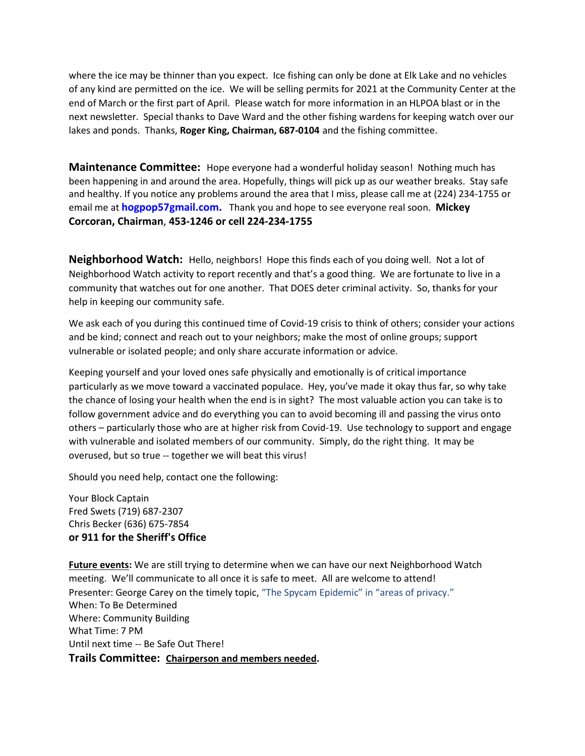where the ice may be thinner than you expect. Ice fishing can only be done at Elk Lake and no vehicles of any kind are permitted on the ice. We will be selling permits for 2021 at the Community Center at the end of March or the first part of April. Please watch for more information in an HLPOA blast or in the next newsletter. Special thanks to Dave Ward and the other fishing wardens for keeping watch over our lakes and ponds. Thanks, **Roger King, Chairman, 687-0104** and the fishing committee.

**Maintenance Committee:** Hope everyone had a wonderful holiday season! Nothing much has been happening in and around the area. Hopefully, things will pick up as our weather breaks. Stay safe and healthy. If you notice any problems around the area that I miss, please call me at (224) 234-1755 or email me at **hogpop57gmail.com.** Thank you and hope to see everyone real soon. **Mickey Corcoran, Chairman**, **453-1246 or cell 224-234-1755** 

**Neighborhood Watch:** Hello, neighbors! Hope this finds each of you doing well. Not a lot of Neighborhood Watch activity to report recently and that's a good thing. We are fortunate to live in a community that watches out for one another. That DOES deter criminal activity. So, thanks for your help in keeping our community safe.

We ask each of you during this continued time of Covid-19 crisis to think of others; consider your actions and be kind; connect and reach out to your neighbors; make the most of online groups; support vulnerable or isolated people; and only share accurate information or advice.

Keeping yourself and your loved ones safe physically and emotionally is of critical importance particularly as we move toward a vaccinated populace. Hey, you've made it okay thus far, so why take the chance of losing your health when the end is in sight? The most valuable action you can take is to follow government advice and do everything you can to avoid becoming ill and passing the virus onto others – particularly those who are at higher risk from Covid-19. Use technology to support and engage with vulnerable and isolated members of our community. Simply, do the right thing. It may be overused, but so true -- together we will beat this virus!

Should you need help, contact one the following:

Your Block Captain Fred Swets (719) 687-2307 Chris Becker (636) 675-7854 **or 911 for the Sheriff's Office**

**Future events:** We are still trying to determine when we can have our next Neighborhood Watch meeting. We'll communicate to all once it is safe to meet. All are welcome to attend! Presenter: George Carey on the timely topic, "The Spycam Epidemic" in "areas of privacy." When: To Be Determined Where: Community Building What Time: 7 PM Until next time -- Be Safe Out There! **Trails Committee: Chairperson and members needed.**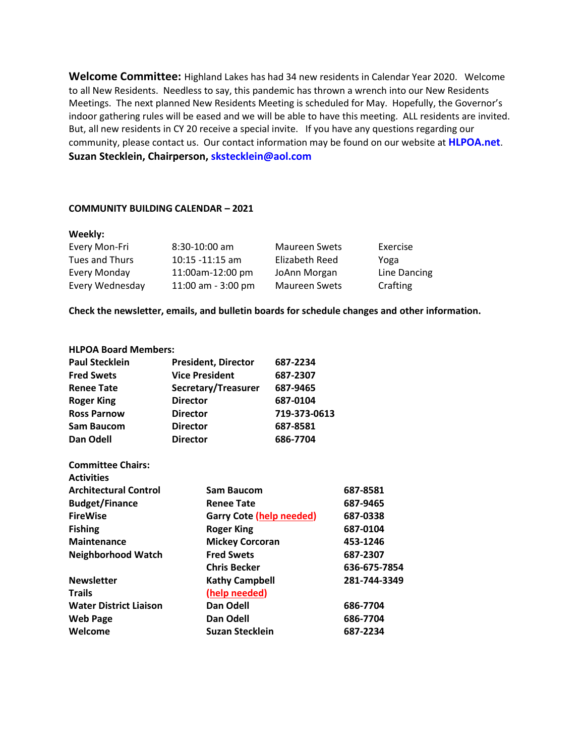**Welcome Committee:** Highland Lakes has had 34 new residents in Calendar Year 2020. Welcome to all New Residents. Needless to say, this pandemic has thrown a wrench into our New Residents Meetings. The next planned New Residents Meeting is scheduled for May. Hopefully, the Governor's indoor gathering rules will be eased and we will be able to have this meeting. ALL residents are invited. But, all new residents in CY 20 receive a special invite. If you have any questions regarding our community, please contact us. Our contact information may be found on our website at **HLPOA.net**. **Suzan Stecklein, Chairperson, [skstecklein@aol.com](mailto:skstecklein@aol.com)**

#### **COMMUNITY BUILDING CALENDAR – 2021**

#### **Weekly:**

| Every Mon-Fri   | $8:30-10:00$ am    | <b>Maureen Swets</b> | Exercise     |
|-----------------|--------------------|----------------------|--------------|
| Tues and Thurs  | $10:15 - 11:15$ am | Elizabeth Reed       | Yoga         |
| Every Monday    | 11:00am-12:00 pm   | JoAnn Morgan         | Line Dancing |
| Every Wednesday | 11:00 am - 3:00 pm | <b>Maureen Swets</b> | Crafting     |

**Check the newsletter, emails, and bulletin boards for schedule changes and other information.** 

#### **HLPOA Board Members:**

| <b>Paul Stecklein</b> | <b>President, Director</b> | 687-2234     |
|-----------------------|----------------------------|--------------|
| <b>Fred Swets</b>     | <b>Vice President</b>      | 687-2307     |
| <b>Renee Tate</b>     | Secretary/Treasurer        | 687-9465     |
| <b>Roger King</b>     | <b>Director</b>            | 687-0104     |
| <b>Ross Parnow</b>    | <b>Director</b>            | 719-373-0613 |
| <b>Sam Baucom</b>     | <b>Director</b>            | 687-8581     |
| Dan Odell             | <b>Director</b>            | 686-7704     |

| <b>Committee Chairs:</b><br><b>Activities</b> |                                 |              |
|-----------------------------------------------|---------------------------------|--------------|
| <b>Architectural Control</b>                  | Sam Baucom                      | 687-8581     |
| <b>Budget/Finance</b>                         | <b>Renee Tate</b>               | 687-9465     |
| <b>FireWise</b>                               | <b>Garry Cote (help needed)</b> | 687-0338     |
| <b>Fishing</b>                                | <b>Roger King</b>               | 687-0104     |
| <b>Maintenance</b>                            | <b>Mickey Corcoran</b>          | 453-1246     |
| <b>Neighborhood Watch</b>                     | <b>Fred Swets</b>               | 687-2307     |
|                                               | <b>Chris Becker</b>             | 636-675-7854 |
| <b>Newsletter</b>                             | <b>Kathy Campbell</b>           | 281-744-3349 |
| <b>Trails</b>                                 | (help needed)                   |              |
| <b>Water District Liaison</b>                 | Dan Odell                       | 686-7704     |
| <b>Web Page</b>                               | Dan Odell                       | 686-7704     |
| Welcome                                       | Suzan Stecklein                 | 687-2234     |